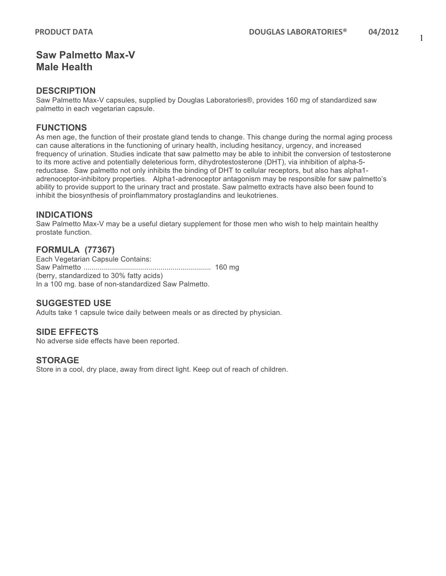# **Saw Palmetto Max-V Male Health**

### **DESCRIPTION**

Saw Palmetto Max-V capsules, supplied by Douglas Laboratories®, provides 160 mg of standardized saw palmetto in each vegetarian capsule.

## **FUNCTIONS**

As men age, the function of their prostate gland tends to change. This change during the normal aging process can cause alterations in the functioning of urinary health, including hesitancy, urgency, and increased frequency of urination. Studies indicate that saw palmetto may be able to inhibit the conversion of testosterone to its more active and potentially deleterious form, dihydrotestosterone (DHT), via inhibition of alpha-5 reductase. Saw palmetto not only inhibits the binding of DHT to cellular receptors, but also has alpha1 adrenoceptor-inhibitory properties. Alpha1-adrenoceptor antagonism may be responsible for saw palmetto's ability to provide support to the urinary tract and prostate. Saw palmetto extracts have also been found to inhibit the biosynthesis of proinflammatory prostaglandins and leukotrienes.

## **INDICATIONS**

Saw Palmetto Max-V may be a useful dietary supplement for those men who wish to help maintain healthy prostate function.

## **FORMULA (77367)**

Each Vegetarian Capsule Contains: Saw Palmetto ............................................................... 160 mg (berry, standardized to 30% fatty acids) In a 100 mg. base of non-standardized Saw Palmetto.

## **SUGGESTED USE**

Adults take 1 capsule twice daily between meals or as directed by physician.

## **SIDE EFFECTS**

No adverse side effects have been reported.

#### **STORAGE**

Store in a cool, dry place, away from direct light. Keep out of reach of children.

1